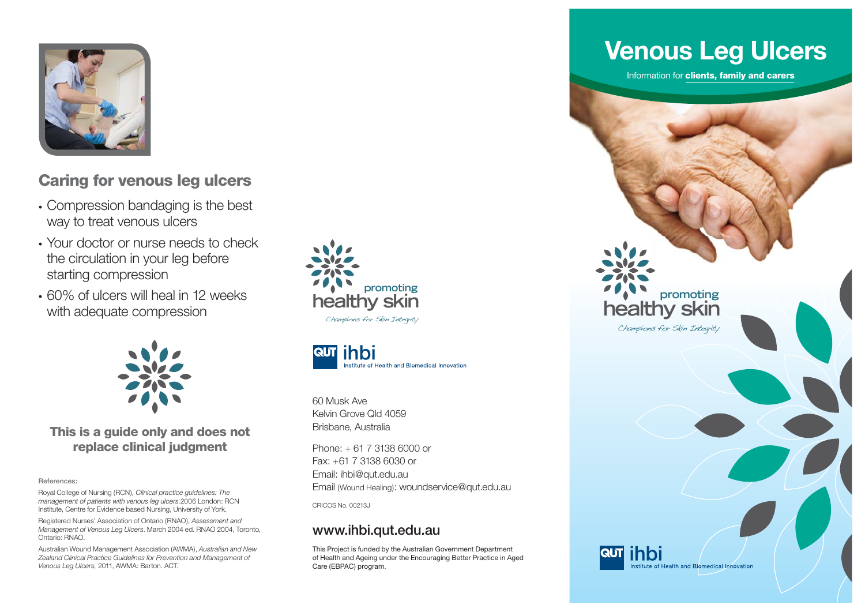

## **Caring for venous leg ulcers**

- Compression bandaging is the best way to treat venous ulcers
- Your doctor or nurse needs to check the circulation in your leg before starting compression
- 60% of ulcers will heal in 12 weeks with adequate compression



#### **This is a guide only and does not replace clinical judgment**

#### **References:**

Royal College of Nursing (RCN)*, Clinical practice guidelines: The management of patients with venous leg ulcers.*2006 London: RCN Institute, Centre for Evidence based Nursing, University of York.

Registered Nurses' Association of Ontario (RNAO), *Assessment and Management of Venous Leg Ulcers*. March 2004 ed. RNAO 2004, Toronto, Ontario: RNAO.

Australian Wound Management Association (AWMA), *Australian and New Zealand Clinical Practice Guidelines for Prevention and Management of Venous Leg Ulcers,* 2011, AWMA: Barton. ACT.





60 Musk AveKelvin Grove Qld 4059Brisbane, Australia

Phone: + 61 7 3138 6000 or Fax: +61 7 3138 6030 or Email: ihbi@qut.edu.au Email (Wound Healing): woundservice@qut.edu.au

CRICOS No. 00213J

#### **www.ihbi.qut.edu.au**

This Project is funded by the Australian Government Department of Health and Ageing under the Encouraging Better Practice in Aged Care (EBPAC) program.

# **Venous Leg Ulcers**

Information for **clients, family and carers**